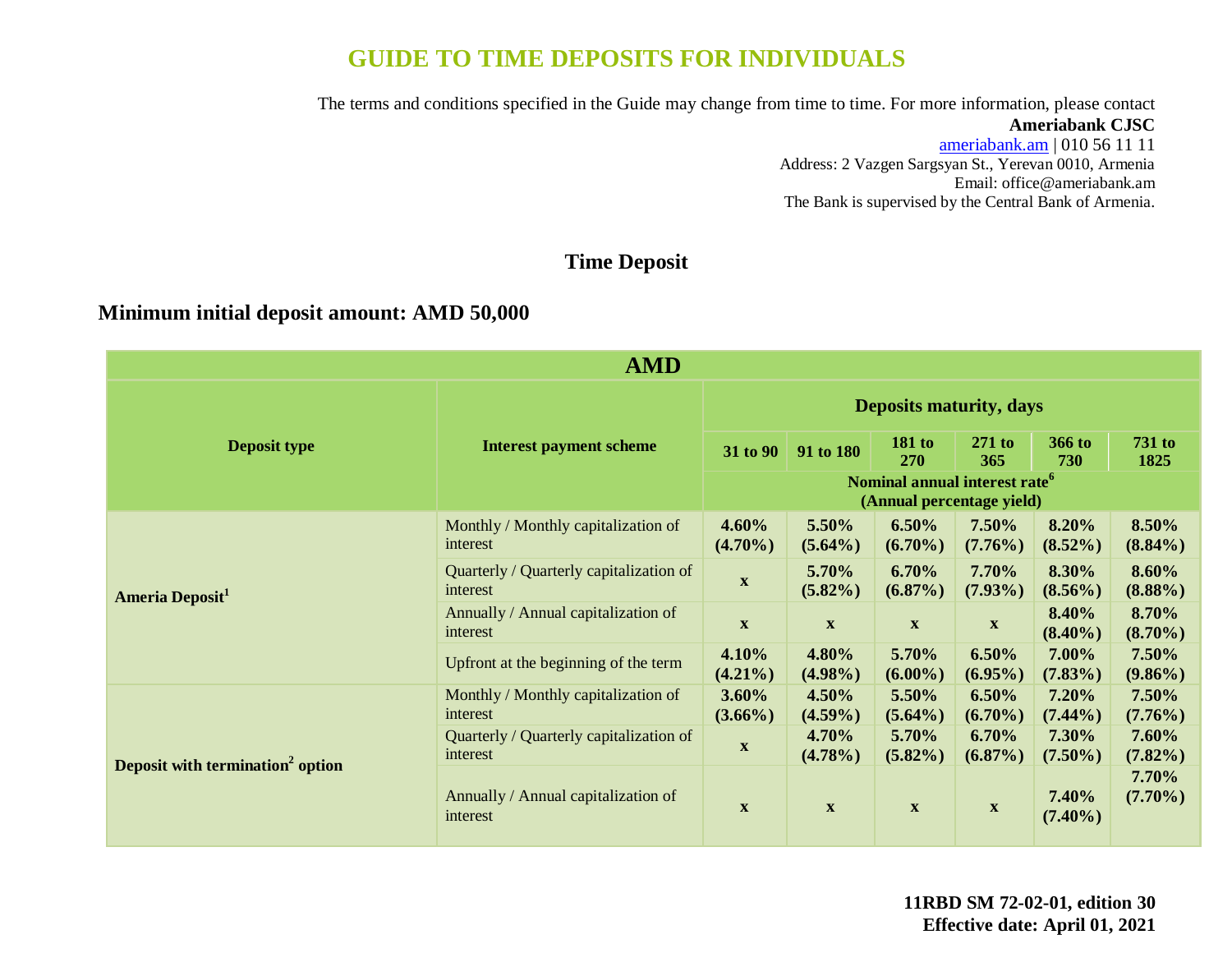# **GUIDE TO TIME DEPOSITS FOR INDIVIDUALS**

The terms and conditions specified in the Guide may change from time to time. For more information, please contact

### **Ameriabank CJSC**

[ameriabank.am](https://ameriabank.am/default.aspx?lang=28) | 010 56 11 11 Address: 2 Vazgen Sargsyan St., Yerevan 0010, Armenia Email: <office@ameriabank.am> The Bank is supervised by the Central Bank of Armenia.

# **Time Deposit**

# **Minimum initial deposit amount: AMD 50,000**

| <b>AMD</b>                                   |                                                     |                                |                                                                        |                           |                           |                     |                       |
|----------------------------------------------|-----------------------------------------------------|--------------------------------|------------------------------------------------------------------------|---------------------------|---------------------------|---------------------|-----------------------|
|                                              | <b>Interest payment scheme</b>                      | <b>Deposits maturity, days</b> |                                                                        |                           |                           |                     |                       |
| <b>Deposit type</b>                          |                                                     | 31 to 90                       | 91 to 180                                                              | 181 to<br><b>270</b>      | $271$ to<br>365           | 366 to<br>730       | <b>731 to</b><br>1825 |
|                                              |                                                     |                                | Nominal annual interest rate <sup>6</sup><br>(Annual percentage yield) |                           |                           |                     |                       |
| Ameria Deposit <sup>1</sup>                  | Monthly / Monthly capitalization of<br>interest     | $4.60\%$<br>$(4.70\%)$         | 5.50%<br>$(5.64\%)$                                                    | 6.50%<br>$(6.70\%)$       | 7.50%<br>$(7.76\%)$       | 8.20%<br>$(8.52\%)$ | 8.50%<br>$(8.84\%)$   |
|                                              | Quarterly / Quarterly capitalization of<br>interest | $\mathbf{x}$                   | 5.70%<br>$(5.82\%)$                                                    | 6.70%<br>$(6.87\%)$       | 7.70%<br>$(7.93\%)$       | 8.30%<br>$(8.56\%)$ | 8.60%<br>$(8.88\%)$   |
|                                              | Annually / Annual capitalization of<br>interest     | $\boldsymbol{\mathrm{X}}$      | $\boldsymbol{\mathrm{X}}$                                              | $\boldsymbol{\mathrm{X}}$ | $\boldsymbol{\mathrm{X}}$ | 8.40%<br>$(8.40\%)$ | 8.70%<br>$(8.70\%)$   |
|                                              | Upfront at the beginning of the term                | 4.10%<br>$(4.21\%)$            | 4.80%<br>$(4.98\%)$                                                    | 5.70%<br>$(6.00\%)$       | 6.50%<br>$(6.95\%)$       | 7.00%<br>$(7.83\%)$ | 7.50%<br>$(9.86\%)$   |
| Deposit with termination <sup>2</sup> option | Monthly / Monthly capitalization of<br>interest     | $3.60\%$<br>$(3.66\%)$         | 4.50%<br>$(4.59\%)$                                                    | 5.50%<br>$(5.64\%)$       | 6.50%<br>$(6.70\%)$       | 7.20%<br>$(7.44\%)$ | 7.50%<br>$(7.76\%)$   |
|                                              | Quarterly / Quarterly capitalization of<br>interest | $\boldsymbol{\mathrm{X}}$      | 4.70%<br>$(4.78\%)$                                                    | 5.70%<br>$(5.82\%)$       | 6.70%<br>$(6.87\%)$       | 7.30%<br>$(7.50\%)$ | 7.60%<br>$(7.82\%)$   |
|                                              | Annually / Annual capitalization of<br>interest     | $\mathbf{X}$                   | $\boldsymbol{\mathrm{X}}$                                              | $\boldsymbol{\mathrm{X}}$ | $\mathbf{X}$              | 7.40%<br>$(7.40\%)$ | 7.70%<br>$(7.70\%)$   |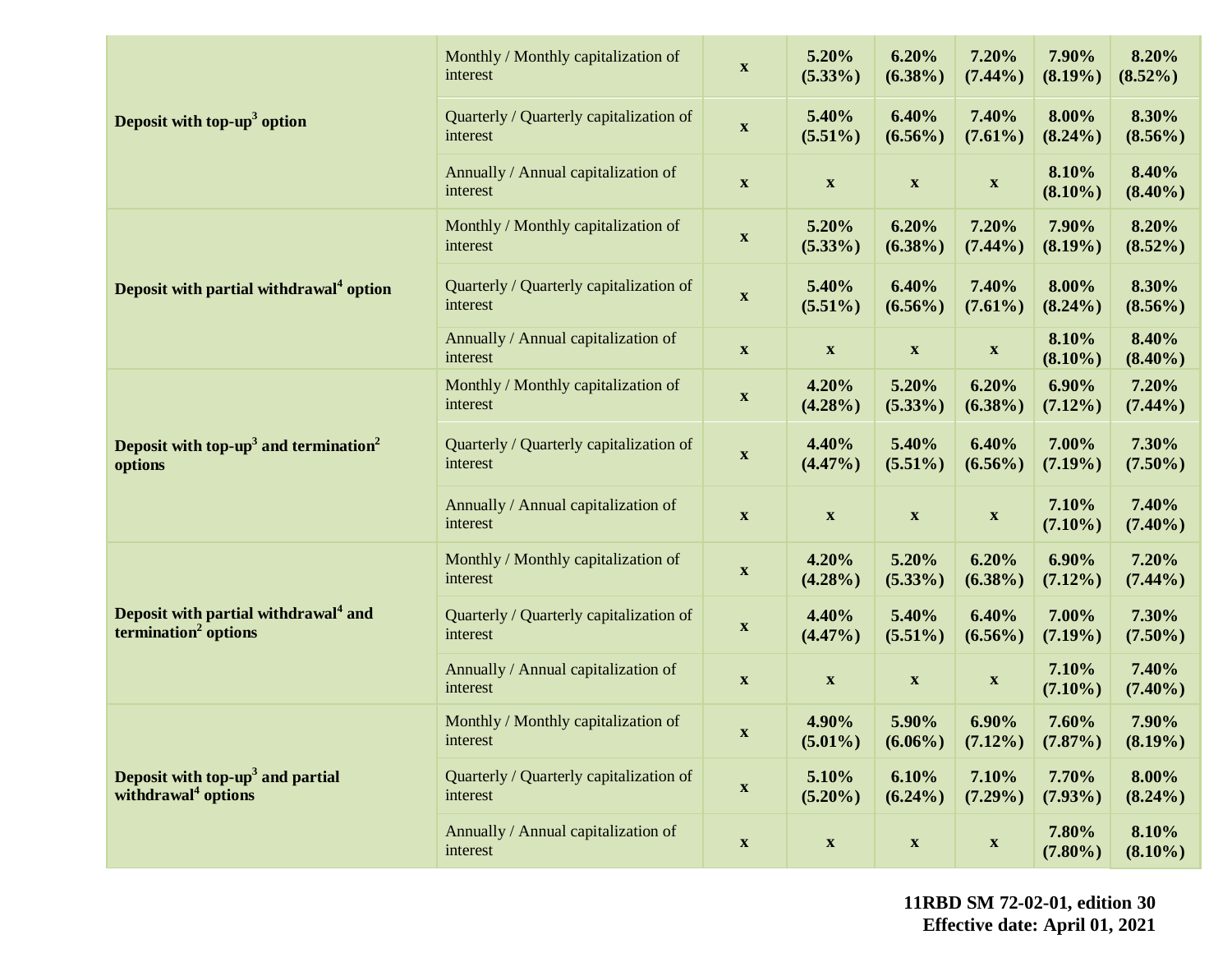|                                                                                      | Monthly / Monthly capitalization of<br>interest     | $\boldsymbol{\mathrm{X}}$ | 5.20%<br>$(5.33\%)$       | 6.20%<br>$(6.38\%)$       | 7.20%<br>$(7.44\%)$       | 7.90%<br>$(8.19\%)$    | 8.20%<br>$(8.52\%)$ |
|--------------------------------------------------------------------------------------|-----------------------------------------------------|---------------------------|---------------------------|---------------------------|---------------------------|------------------------|---------------------|
| Deposit with top-up <sup>3</sup> option                                              | Quarterly / Quarterly capitalization of<br>interest | $\boldsymbol{\mathrm{X}}$ | 5.40%<br>$(5.51\%)$       | 6.40%<br>$(6.56\%)$       | 7.40%<br>$(7.61\%)$       | 8.00%<br>$(8.24\%)$    | 8.30%<br>$(8.56\%)$ |
|                                                                                      | Annually / Annual capitalization of<br>interest     | $\boldsymbol{\mathrm{X}}$ | $\boldsymbol{\mathrm{X}}$ | $\boldsymbol{\mathrm{X}}$ | $\boldsymbol{\mathrm{X}}$ | 8.10%<br>$(8.10\%)$    | 8.40%<br>$(8.40\%)$ |
|                                                                                      | Monthly / Monthly capitalization of<br>interest     | $\boldsymbol{\mathrm{X}}$ | 5.20%<br>$(5.33\%)$       | 6.20%<br>$(6.38\%)$       | 7.20%<br>$(7.44\%)$       | 7.90%<br>$(8.19\%)$    | 8.20%<br>$(8.52\%)$ |
| Deposit with partial withdrawal <sup>4</sup> option                                  | Quarterly / Quarterly capitalization of<br>interest | $\boldsymbol{\mathrm{X}}$ | 5.40%<br>$(5.51\%)$       | 6.40%<br>$(6.56\%)$       | 7.40%<br>$(7.61\%)$       | 8.00%<br>$(8.24\%)$    | 8.30%<br>$(8.56\%)$ |
|                                                                                      | Annually / Annual capitalization of<br>interest     | $\boldsymbol{\mathrm{X}}$ | $\boldsymbol{\mathrm{X}}$ | $\boldsymbol{\mathrm{X}}$ | $\boldsymbol{\mathrm{X}}$ | 8.10%<br>$(8.10\%)$    | 8.40%<br>$(8.40\%)$ |
| Deposit with top-up <sup>3</sup> and termination <sup>2</sup><br>options             | Monthly / Monthly capitalization of<br>interest     | $\boldsymbol{\mathrm{X}}$ | 4.20%<br>$(4.28\%)$       | 5.20%<br>$(5.33\%)$       | 6.20%<br>$(6.38\%)$       | $6.90\%$<br>$(7.12\%)$ | 7.20%<br>$(7.44\%)$ |
|                                                                                      | Quarterly / Quarterly capitalization of<br>interest | $\boldsymbol{\mathrm{X}}$ | 4.40%<br>$(4.47\%)$       | 5.40%<br>$(5.51\%)$       | 6.40%<br>$(6.56\%)$       | 7.00%<br>$(7.19\%)$    | 7.30%<br>$(7.50\%)$ |
|                                                                                      | Annually / Annual capitalization of<br>interest     | $\boldsymbol{\mathrm{X}}$ | $\mathbf{X}$              | $\boldsymbol{\mathrm{X}}$ | $\mathbf{X}$              | 7.10%<br>$(7.10\%)$    | 7.40%<br>$(7.40\%)$ |
| Deposit with partial withdrawal <sup>4</sup> and<br>termination <sup>2</sup> options | Monthly / Monthly capitalization of<br>interest     | $\boldsymbol{\mathrm{X}}$ | 4.20%<br>$(4.28\%)$       | 5.20%<br>$(5.33\%)$       | 6.20%<br>$(6.38\%)$       | $6.90\%$<br>$(7.12\%)$ | 7.20%<br>$(7.44\%)$ |
|                                                                                      | Quarterly / Quarterly capitalization of<br>interest | $\boldsymbol{\mathrm{X}}$ | 4.40%<br>$(4.47\%)$       | 5.40%<br>$(5.51\%)$       | 6.40%<br>$(6.56\%)$       | 7.00%<br>$(7.19\%)$    | 7.30%<br>$(7.50\%)$ |
|                                                                                      | Annually / Annual capitalization of<br>interest     | $\boldsymbol{\mathrm{X}}$ | $\boldsymbol{\mathrm{X}}$ | $\boldsymbol{\mathrm{X}}$ | $\boldsymbol{\mathrm{X}}$ | 7.10%<br>$(7.10\%)$    | 7.40%<br>$(7.40\%)$ |
| Deposit with top-up <sup>3</sup> and partial<br>withdrawal <sup>4</sup> options      | Monthly / Monthly capitalization of<br>interest     | $\mathbf x$               | 4.90%<br>$(5.01\%)$       | 5.90%<br>$(6.06\%)$       | $6.90\%$<br>$(7.12\%)$    | 7.60%<br>$(7.87\%)$    | 7.90%<br>$(8.19\%)$ |
|                                                                                      | Quarterly / Quarterly capitalization of<br>interest | $\boldsymbol{\mathrm{X}}$ | 5.10%<br>$(5.20\%)$       | 6.10%<br>$(6.24\%)$       | 7.10%<br>$(7.29\%)$       | 7.70%<br>$(7.93\%)$    | 8.00%<br>$(8.24\%)$ |
|                                                                                      | Annually / Annual capitalization of<br>interest     | $\boldsymbol{\mathrm{X}}$ | $\boldsymbol{\mathrm{X}}$ | $\boldsymbol{\mathrm{X}}$ | $\boldsymbol{\mathrm{X}}$ | 7.80%<br>$(7.80\%)$    | 8.10%<br>$(8.10\%)$ |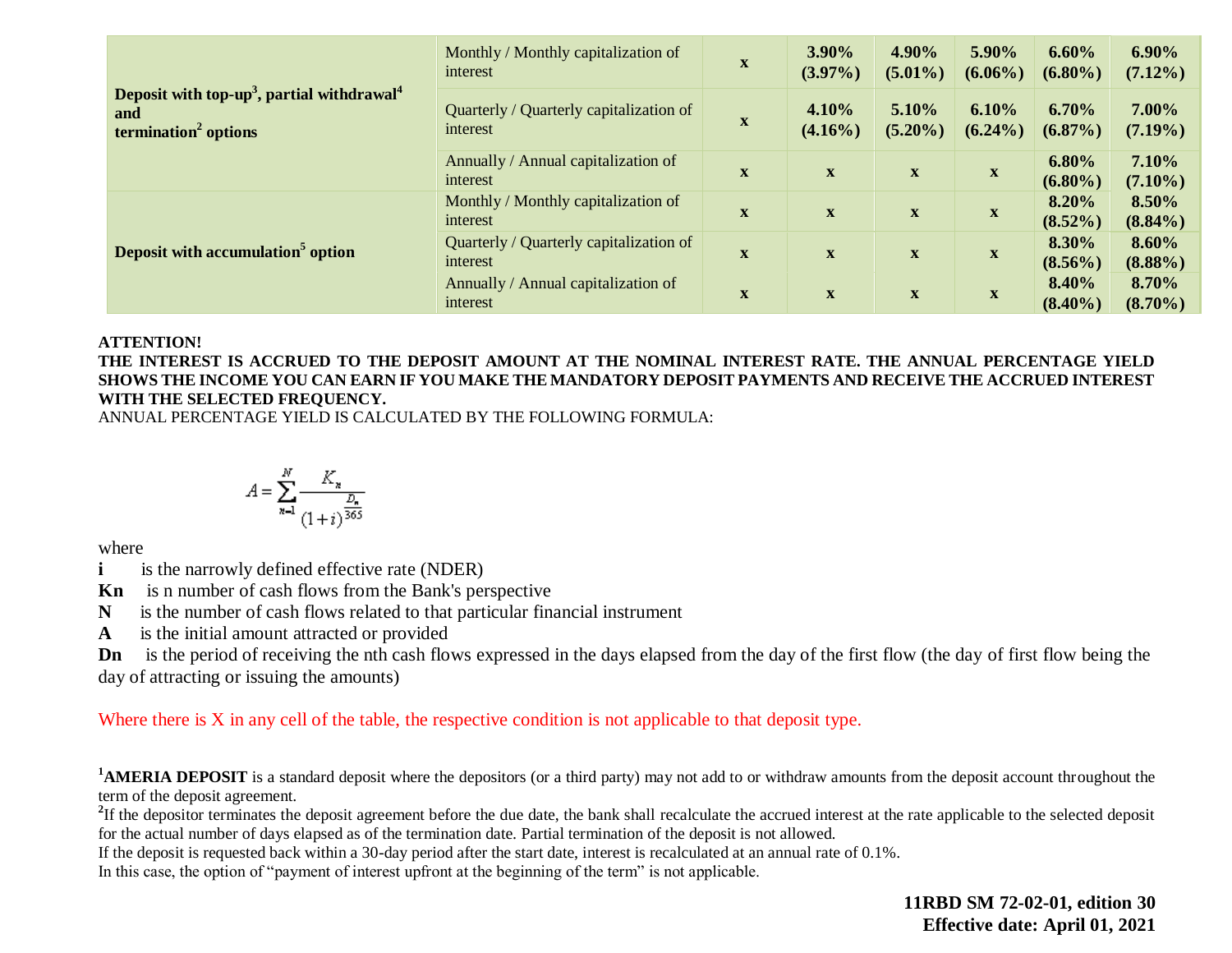|                                                                                                               | Monthly / Monthly capitalization of<br>interest     | $\mathbf X$  | 3.90%<br>$(3.97\%)$       | 4.90%<br>$(5.01\%)$       | 5.90%<br>$(6.06\%)$ | 6.60%<br>$(6.80\%)$    | $6.90\%$<br>$(7.12\%)$ |
|---------------------------------------------------------------------------------------------------------------|-----------------------------------------------------|--------------|---------------------------|---------------------------|---------------------|------------------------|------------------------|
| Deposit with top-up <sup>3</sup> , partial withdrawal <sup>4</sup><br>and<br>termination <sup>2</sup> options | Quarterly / Quarterly capitalization of<br>interest | $\mathbf X$  | 4.10%<br>$(4.16\%)$       | 5.10%<br>$(5.20\%)$       | 6.10%<br>$(6.24\%)$ | 6.70%<br>$(6.87\%)$    | 7.00%<br>$(7.19\%)$    |
|                                                                                                               | Annually / Annual capitalization of<br>interest     | $\mathbf{X}$ | $\boldsymbol{\mathrm{X}}$ | $\boldsymbol{\mathrm{X}}$ | $\mathbf{X}$        | $6.80\%$<br>$(6.80\%)$ | 7.10%<br>$(7.10\%)$    |
|                                                                                                               | Monthly / Monthly capitalization of<br>interest     | $\mathbf X$  | $\mathbf x$               | $\mathbf X$               | $\mathbf{X}$        | 8.20%<br>$(8.52\%)$    | 8.50%<br>$(8.84\%)$    |
| Deposit with accumulation <sup>5</sup> option                                                                 | Quarterly / Quarterly capitalization of<br>interest | $\mathbf{X}$ | $\mathbf X$               | $\boldsymbol{\mathrm{X}}$ | $\mathbf{X}$        | 8.30%<br>$(8.56\%)$    | 8.60%<br>$(8.88\%)$    |
|                                                                                                               | Annually / Annual capitalization of<br>interest     |              | $\mathbf{X}$              | $\mathbf{X}$              | $\mathbf{X}$        | 8.40%<br>$(8.40\%)$    | 8.70%<br>$(8.70\%)$    |

#### **ATTENTION!**

**THE INTEREST IS ACCRUED TO THE DEPOSIT AMOUNT AT THE NOMINAL INTEREST RATE. THE ANNUAL PERCENTAGE YIELD SHOWS THE INCOME YOU CAN EARN IF YOU MAKE THE MANDATORY DEPOSIT PAYMENTS AND RECEIVE THE ACCRUED INTEREST WITH THE SELECTED FREQUENCY.** 

ANNUAL PERCENTAGE YIELD IS CALCULATED BY THE FOLLOWING FORMULA:

$$
A=\sum_{n=1}^N\frac{K_n}{\frac{D_n}{(1+i)^{\frac{D_n}{365}}}}
$$

where

**i** is the narrowly defined effective rate (NDER)

**Kn** is n number of cash flows from the Bank's perspective

**N** is the number of cash flows related to that particular financial instrument

**A** is the initial amount attracted or provided

**Dn** is the period of receiving the nth cash flows expressed in the days elapsed from the day of the first flow (the day of first flow being the day of attracting or issuing the amounts)

Where there is X in any cell of the table, the respective condition is not applicable to that deposit type.

<sup>1</sup>**AMERIA DEPOSIT** is a standard deposit where the depositors (or a third party) may not add to or withdraw amounts from the deposit account throughout the term of the deposit agreement.

<sup>2</sup>If the depositor terminates the deposit agreement before the due date, the bank shall recalculate the accrued interest at the rate applicable to the selected deposit for the actual number of days elapsed as of the termination date. Partial termination of the deposit is not allowed.

If the deposit is requested back within a 30-day period after the start date, interest is recalculated at an annual rate of 0.1%.

In this case, the option of "payment of interest upfront at the beginning of the term" is not applicable.

**11RBD SM 72-02-01, edition 30 Effective date: April 01, 2021**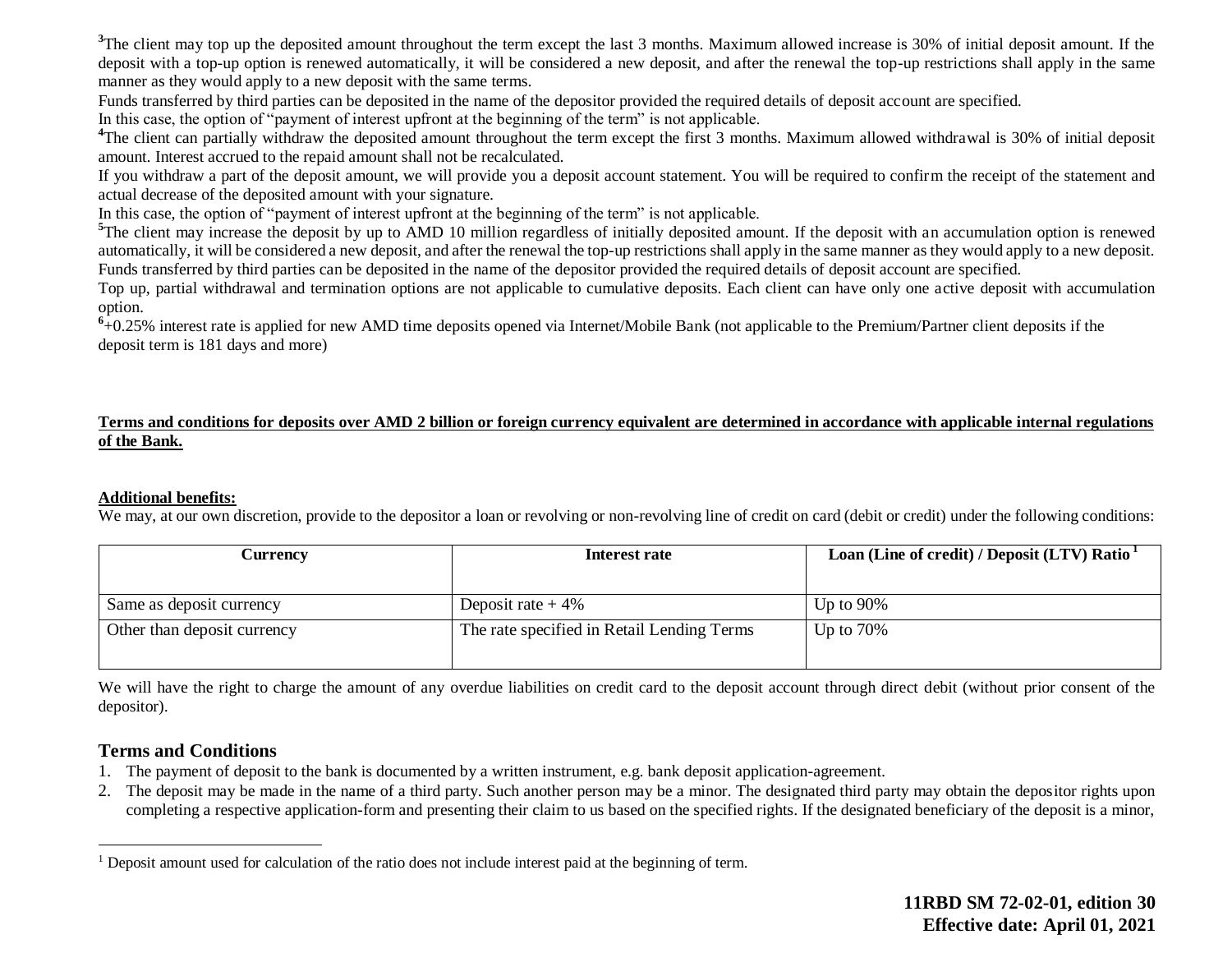<sup>3</sup>The client may top up the deposited amount throughout the term except the last 3 months. Maximum allowed increase is 30% of initial deposit amount. If the deposit with a top-up option is renewed automatically, it will be considered a new deposit, and after the renewal the top-up restrictions shall apply in the same manner as they would apply to a new deposit with the same terms.

Funds transferred by third parties can be deposited in the name of the depositor provided the required details of deposit account are specified.

In this case, the option of "payment of interest upfront at the beginning of the term" is not applicable.

<sup>4</sup>The client can partially withdraw the deposited amount throughout the term except the first 3 months. Maximum allowed withdrawal is 30% of initial deposit amount. Interest accrued to the repaid amount shall not be recalculated.

If you withdraw a part of the deposit amount, we will provide you a deposit account statement. You will be required to confirm the receipt of the statement and actual decrease of the deposited amount with your signature.

In this case, the option of "payment of interest upfront at the beginning of the term" is not applicable.

<sup>5</sup>The client may increase the deposit by up to AMD 10 million regardless of initially deposited amount. If the deposit with an accumulation option is renewed automatically, it will be considered a new deposit, and after the renewal the top-up restrictions shall apply in the same manner as they would apply to a new deposit. Funds transferred by third parties can be deposited in the name of the depositor provided the required details of deposit account are specified.

Top up, partial withdrawal and termination options are not applicable to cumulative deposits. Each client can have only one active deposit with accumulation option.

<sup>6</sup>+0.25% interest rate is applied for new AMD time deposits opened via Internet/Mobile Bank (not applicable to the Premium/Partner client deposits if the deposit term is 181 days and more)

### **Terms and conditions for deposits over AMD 2 billion or foreign currency equivalent are determined in accordance with applicable internal regulations of the Bank.**

#### **Additional benefits:**

We may, at our own discretion, provide to the depositor a loan or revolving or non-revolving line of credit on card (debit or credit) under the following conditions:

| Currencv                    | Interest rate                              | Loan (Line of credit) / Deposit (LTV) Ratio <sup>1</sup> |
|-----------------------------|--------------------------------------------|----------------------------------------------------------|
|                             |                                            |                                                          |
| Same as deposit currency    | Deposit rate $+4\%$                        | Up to $90\%$                                             |
| Other than deposit currency | The rate specified in Retail Lending Terms | Up to $70\%$                                             |
|                             |                                            |                                                          |

We will have the right to charge the amount of any overdue liabilities on credit card to the deposit account through direct debit (without prior consent of the depositor).

## **Terms and Conditions**

 $\overline{a}$ 

- 1. The payment of deposit to the bank is documented by a written instrument, e.g. bank deposit application-agreement.
- 2. The deposit may be made in the name of a third party. Such another person may be a minor. The designated third party may obtain the depositor rights upon completing a respective application-form and presenting their claim to us based on the specified rights. If the designated beneficiary of the deposit is a minor,

<sup>1</sup> Deposit amount used for calculation of the ratio does not include interest paid at the beginning of term.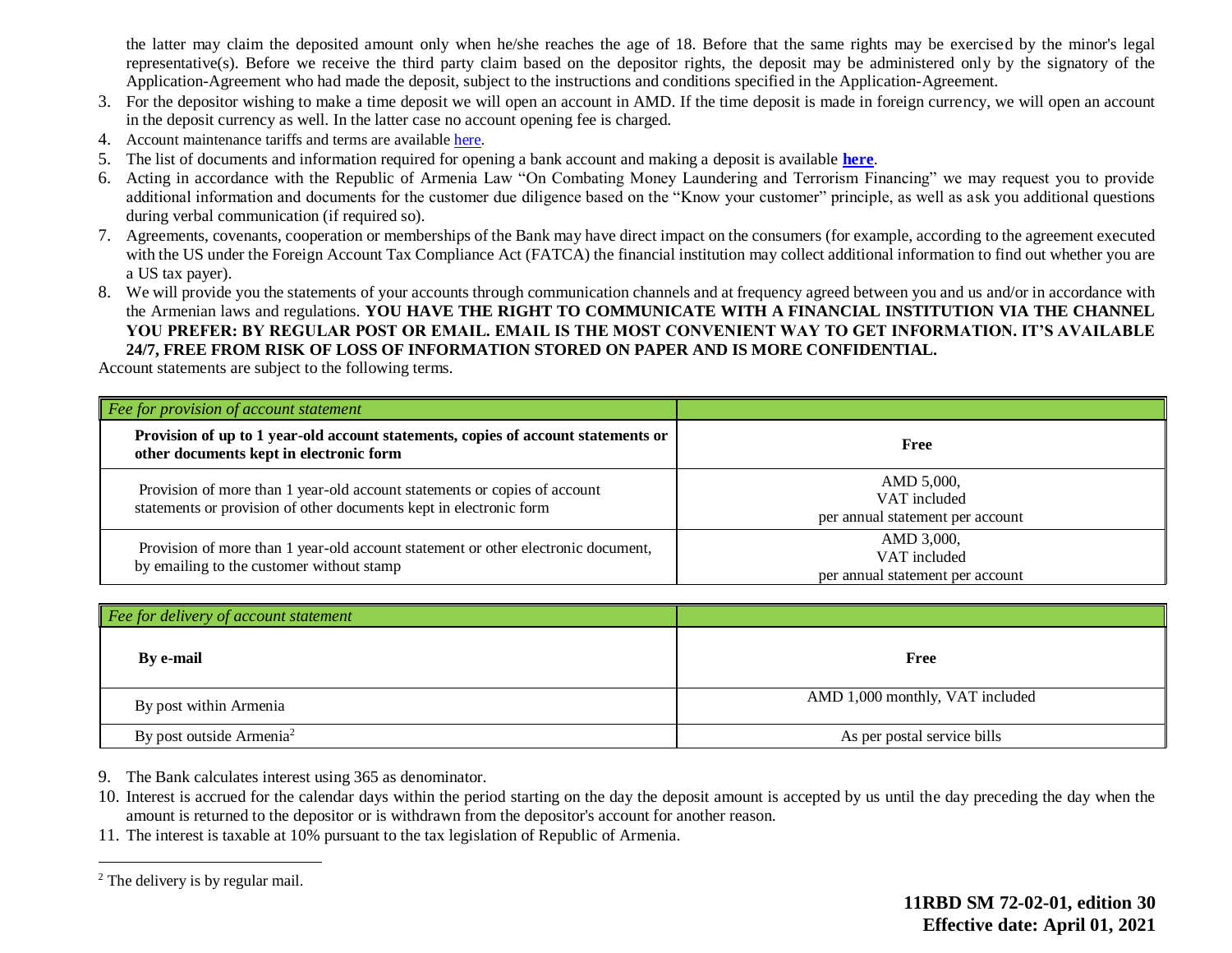the latter may claim the deposited amount only when he/she reaches the age of 18. Before that the same rights may be exercised by the minor's legal representative(s). Before we receive the third party claim based on the depositor rights, the deposit may be administered only by the signatory of the Application-Agreement who had made the deposit, subject to the instructions and conditions specified in the Application-Agreement.

- 3. For the depositor wishing to make a time deposit we will open an account in AMD. If the time deposit is made in foreign currency, we will open an account in the deposit currency as well. In the latter case no account opening fee is charged.
- 4. Account maintenance tariffs and terms are availabl[e here.](https://ameriabank.am/content.aspx?id=openning+and+service+of+bank+accounts+(retail)&page=99&itm=account&lang=28)
- 5. The list of documents and information required for opening a bank account and making a deposit is available **[here](https://ameriabank.am/userfiles/file/Account_openning_required_documents_2.pdf)**.
- 6. Acting in accordance with the Republic of Armenia Law "On Combating Money Laundering and Terrorism Financing" we may request you to provide additional information and documents for the customer due diligence based on the "Know your customer" principle, as well as ask you additional questions during verbal communication (if required so).
- 7. Agreements, covenants, cooperation or memberships of the Bank may have direct impact on the consumers (for example, according to the agreement executed with the US under the Foreign Account Tax Compliance Act (FATCA) the financial institution may collect additional information to find out whether you are a US tax payer).
- 8. We will provide you the statements of your accounts through communication channels and at frequency agreed between you and us and/or in accordance with the Armenian laws and regulations. **YOU HAVE THE RIGHT TO COMMUNICATE WITH A FINANCIAL INSTITUTION VIA THE CHANNEL YOU PREFER: BY REGULAR POST OR EMAIL. EMAIL IS THE MOST CONVENIENT WAY TO GET INFORMATION. IT'S AVAILABLE 24/7, FREE FROM RISK OF LOSS OF INFORMATION STORED ON PAPER AND IS MORE CONFIDENTIAL.**

Account statements are subject to the following terms.

| Fee for provision of account statement                                                                                                          |                                                                |
|-------------------------------------------------------------------------------------------------------------------------------------------------|----------------------------------------------------------------|
| Provision of up to 1 year-old account statements, copies of account statements or<br>other documents kept in electronic form                    | Free                                                           |
| Provision of more than 1 year-old account statements or copies of account<br>statements or provision of other documents kept in electronic form | AMD 5,000,<br>VAT included<br>per annual statement per account |
| Provision of more than 1 year-old account statement or other electronic document,<br>by emailing to the customer without stamp                  | AMD 3,000,<br>VAT included<br>per annual statement per account |

| Fee for delivery of account statement |                                 |
|---------------------------------------|---------------------------------|
| By e-mail                             | Free                            |
| By post within Armenia                | AMD 1,000 monthly, VAT included |
| By post outside Armenia <sup>2</sup>  | As per postal service bills     |

- 9. The Bank calculates interest using 365 as denominator.
- 10. Interest is accrued for the calendar days within the period starting on the day the deposit amount is accepted by us until the day preceding the day when the amount is returned to the depositor or is withdrawn from the depositor's account for another reason.
- 11. The interest is taxable at 10% pursuant to the tax legislation of Republic of Armenia.

 $\overline{a}$ 

<sup>&</sup>lt;sup>2</sup> The delivery is by regular mail.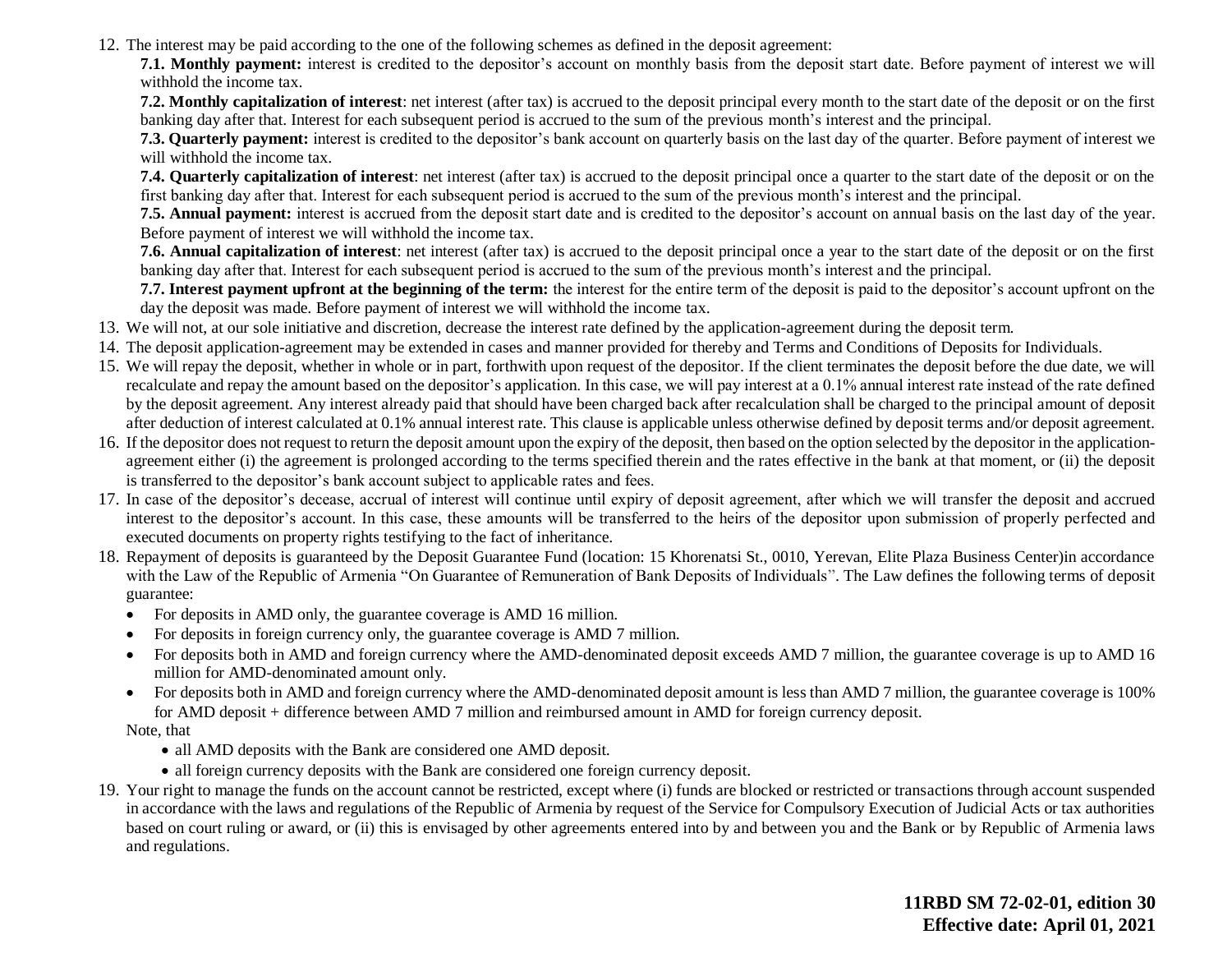12. The interest may be paid according to the one of the following schemes as defined in the deposit agreement:

**7.1. Monthly payment:** interest is credited to the depositor's account on monthly basis from the deposit start date. Before payment of interest we will withhold the income tax.

**7.2. Monthly capitalization of interest**: net interest (after tax) is accrued to the deposit principal every month to the start date of the deposit or on the first banking day after that. Interest for each subsequent period is accrued to the sum of the previous month's interest and the principal.

**7.3. Quarterly payment:** interest is credited to the depositor's bank account on quarterly basis on the last day of the quarter. Before payment of interest we will withhold the income tax.

**7.4. Quarterly capitalization of interest**: net interest (after tax) is accrued to the deposit principal once a quarter to the start date of the deposit or on the first banking day after that. Interest for each subsequent period is accrued to the sum of the previous month's interest and the principal.

**7.5. Annual payment:** interest is accrued from the deposit start date and is credited to the depositor's account on annual basis on the last day of the year. Before payment of interest we will withhold the income tax.

**7.6. Annual capitalization of interest**: net interest (after tax) is accrued to the deposit principal once a year to the start date of the deposit or on the first banking day after that. Interest for each subsequent period is accrued to the sum of the previous month's interest and the principal.

**7.7. Interest payment upfront at the beginning of the term:** the interest for the entire term of the deposit is paid to the depositor's account upfront on the day the deposit was made. Before payment of interest we will withhold the income tax.

- 13. We will not, at our sole initiative and discretion, decrease the interest rate defined by the application-agreement during the deposit term.
- 14. The deposit application-agreement may be extended in cases and manner provided for thereby and Terms and Conditions of Deposits for Individuals.
- 15. We will repay the deposit, whether in whole or in part, forthwith upon request of the depositor. If the client terminates the deposit before the due date, we will recalculate and repay the amount based on the depositor's application. In this case, we will pay interest at a 0.1% annual interest rate instead of the rate defined by the deposit agreement. Any interest already paid that should have been charged back after recalculation shall be charged to the principal amount of deposit after deduction of interest calculated at 0.1% annual interest rate. This clause is applicable unless otherwise defined by deposit terms and/or deposit agreement.
- 16. If the depositor does not request to return the deposit amount upon the expiry of the deposit, then based on the option selected by the depositor in the applicationagreement either (i) the agreement is prolonged according to the terms specified therein and the rates effective in the bank at that moment, or (ii) the deposit is transferred to the depositor's bank account subject to applicable rates and fees.
- 17. In case of the depositor's decease, accrual of interest will continue until expiry of deposit agreement, after which we will transfer the deposit and accrued interest to the depositor's account. In this case, these amounts will be transferred to the heirs of the depositor upon submission of properly perfected and executed documents on property rights testifying to the fact of inheritance.
- 18. Repayment of deposits is guaranteed by the Deposit Guarantee Fund (location: 15 Khorenatsi St., 0010, Yerevan, Elite Plaza Business Center)in accordance with the Law of the Republic of Armenia "On Guarantee of Remuneration of Bank Deposits of Individuals". The Law defines the following terms of deposit guarantee:
	- For deposits in AMD only, the guarantee coverage is AMD 16 million.
	- For deposits in foreign currency only, the guarantee coverage is AMD 7 million.
	- For deposits both in AMD and foreign currency where the AMD-denominated deposit exceeds AMD 7 million, the guarantee coverage is up to AMD 16 million for AMD-denominated amount only.
	- For deposits both in AMD and foreign currency where the AMD-denominated deposit amount is less than AMD 7 million, the guarantee coverage is 100% for AMD deposit + difference between AMD 7 million and reimbursed amount in AMD for foreign currency deposit.

Note, that

- all AMD deposits with the Bank are considered one AMD deposit.
- all foreign currency deposits with the Bank are considered one foreign currency deposit.
- 19. Your right to manage the funds on the account cannot be restricted, except where (i) funds are blocked or restricted or transactions through account suspended in accordance with the laws and regulations of the Republic of Armenia by request of the Service for Compulsory Execution of Judicial Acts or tax authorities based on court ruling or award, or (ii) this is envisaged by other agreements entered into by and between you and the Bank or by Republic of Armenia laws and regulations.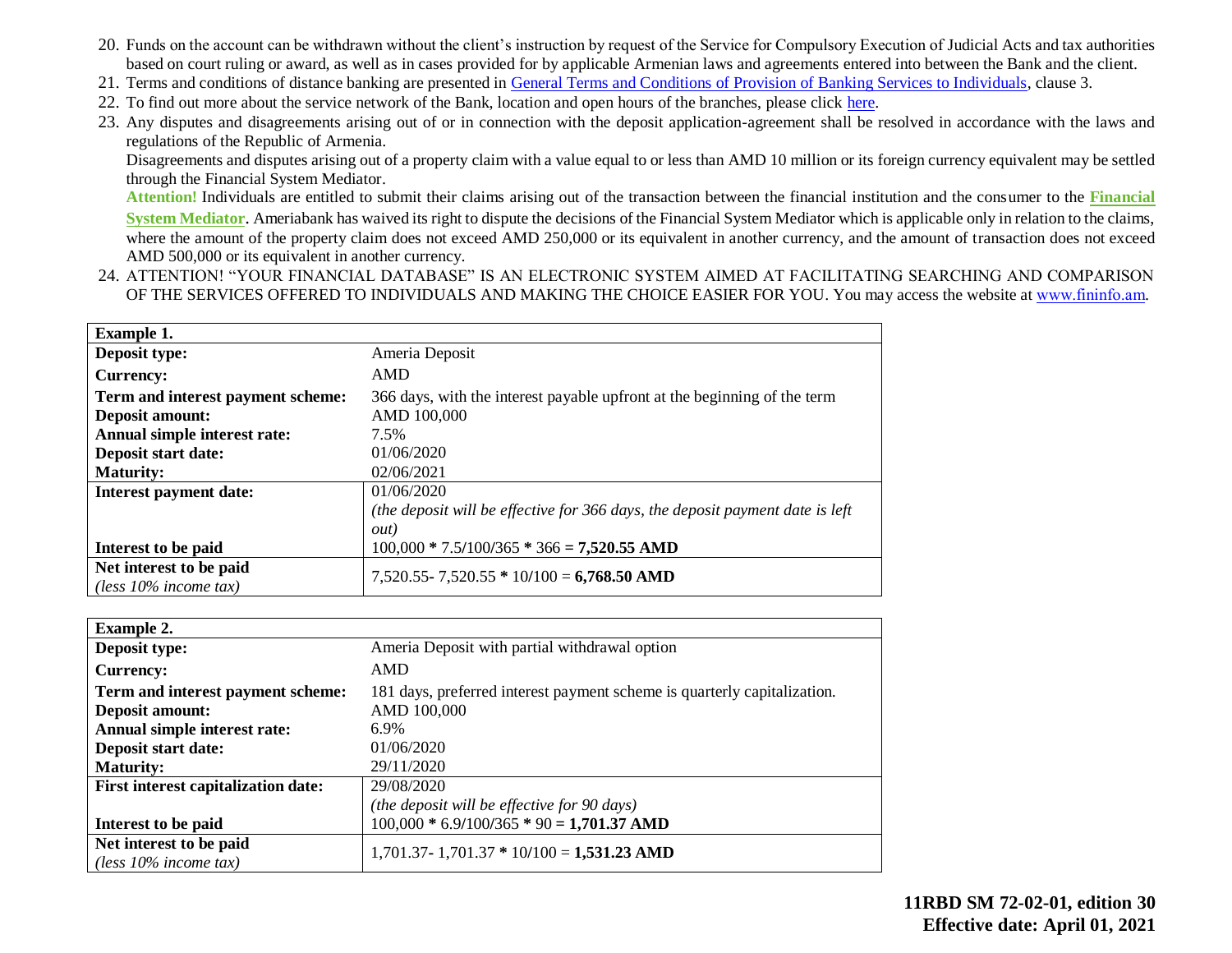- 20. Funds on the account can be withdrawn without the client's instruction by request of the Service for Compulsory Execution of Judicial Acts and tax authorities based on court ruling or award, as well as in cases provided for by applicable Armenian laws and agreements entered into between the Bank and the client.
- 21. Terms and conditions of distance banking are presented in [General Terms and Conditions of Provision of Banking Services to Individuals,](https://ameriabank.am/content.aspx?id=openning+and+service+of+bank+accounts+(retail)&page=99&itm=account&lang=28) clause 3.
- 22. To find out more about the service network of the Bank, location and open hours of the branches, please click [here.](https://ameriabank.am/infrastructure.aspx?lang=28)
- 23. Any disputes and disagreements arising out of or in connection with the deposit application-agreement shall be resolved in accordance with the laws and regulations of the Republic of Armenia.

Disagreements and disputes arising out of a property claim with a value equal to or less than AMD 10 million or its foreign currency equivalent may be settled through the Financial System Mediator.

**Attention!** Individuals are entitled to submit their claims arising out of the transaction between the financial institution and the consumer to the **[Financial](https://ameriabank.am/Page.aspx?id=423&lang=33)  [System Mediator](https://ameriabank.am/Page.aspx?id=423&lang=33)**. Ameriabank has waived its right to dispute the decisions of the Financial System Mediator which is applicable only in relation to the claims, where the amount of the property claim does not exceed AMD 250,000 or its equivalent in another currency, and the amount of transaction does not exceed AMD 500,000 or its equivalent in another currency.

24. ATTENTION! "YOUR FINANCIAL DATABASE" IS AN ELECTRONIC SYSTEM AIMED AT FACILITATING SEARCHING AND COMPARISON OF THE SERVICES OFFERED TO INDIVIDUALS AND MAKING THE CHOICE EASIER FOR YOU. You may access the website at [www.fininfօ.am.](https://www.arlis.am/Res/)

| <b>Example 1.</b>                                   |                                                                               |
|-----------------------------------------------------|-------------------------------------------------------------------------------|
| Deposit type:                                       | Ameria Deposit                                                                |
| <b>Currency:</b>                                    | <b>AMD</b>                                                                    |
| Term and interest payment scheme:                   | 366 days, with the interest payable upfront at the beginning of the term      |
| <b>Deposit amount:</b>                              | AMD 100,000                                                                   |
| Annual simple interest rate:                        | 7.5%                                                                          |
| Deposit start date:                                 | 01/06/2020                                                                    |
| <b>Maturity:</b>                                    | 02/06/2021                                                                    |
| Interest payment date:                              | 01/06/2020                                                                    |
|                                                     | (the deposit will be effective for 366 days, the deposit payment date is left |
|                                                     | out)                                                                          |
| Interest to be paid                                 | $100,000 * 7.5/100/365 * 366 = 7,520.55$ AMD                                  |
| Net interest to be paid<br>(less $10\%$ income tax) | $7,520.55 - 7,520.55 * 10/100 = 6,768.50$ AMD                                 |

| <b>Example 2.</b>                          |                                                                          |
|--------------------------------------------|--------------------------------------------------------------------------|
| Deposit type:                              | Ameria Deposit with partial withdrawal option                            |
| <b>Currency:</b>                           | AMD                                                                      |
| Term and interest payment scheme:          | 181 days, preferred interest payment scheme is quarterly capitalization. |
| Deposit amount:                            | AMD 100,000                                                              |
| Annual simple interest rate:               | 6.9%                                                                     |
| Deposit start date:                        | 01/06/2020                                                               |
| <b>Maturity:</b>                           | 29/11/2020                                                               |
| <b>First interest capitalization date:</b> | 29/08/2020                                                               |
|                                            | (the deposit will be effective for 90 days)                              |
| Interest to be paid                        | $100,000 * 6.9/100/365 * 90 = 1,701.37$ AMD                              |
| Net interest to be paid                    | $1,701.37 - 1,701.37 * 10/100 = 1,531.23$ AMD                            |
| (less $10\%$ income tax)                   |                                                                          |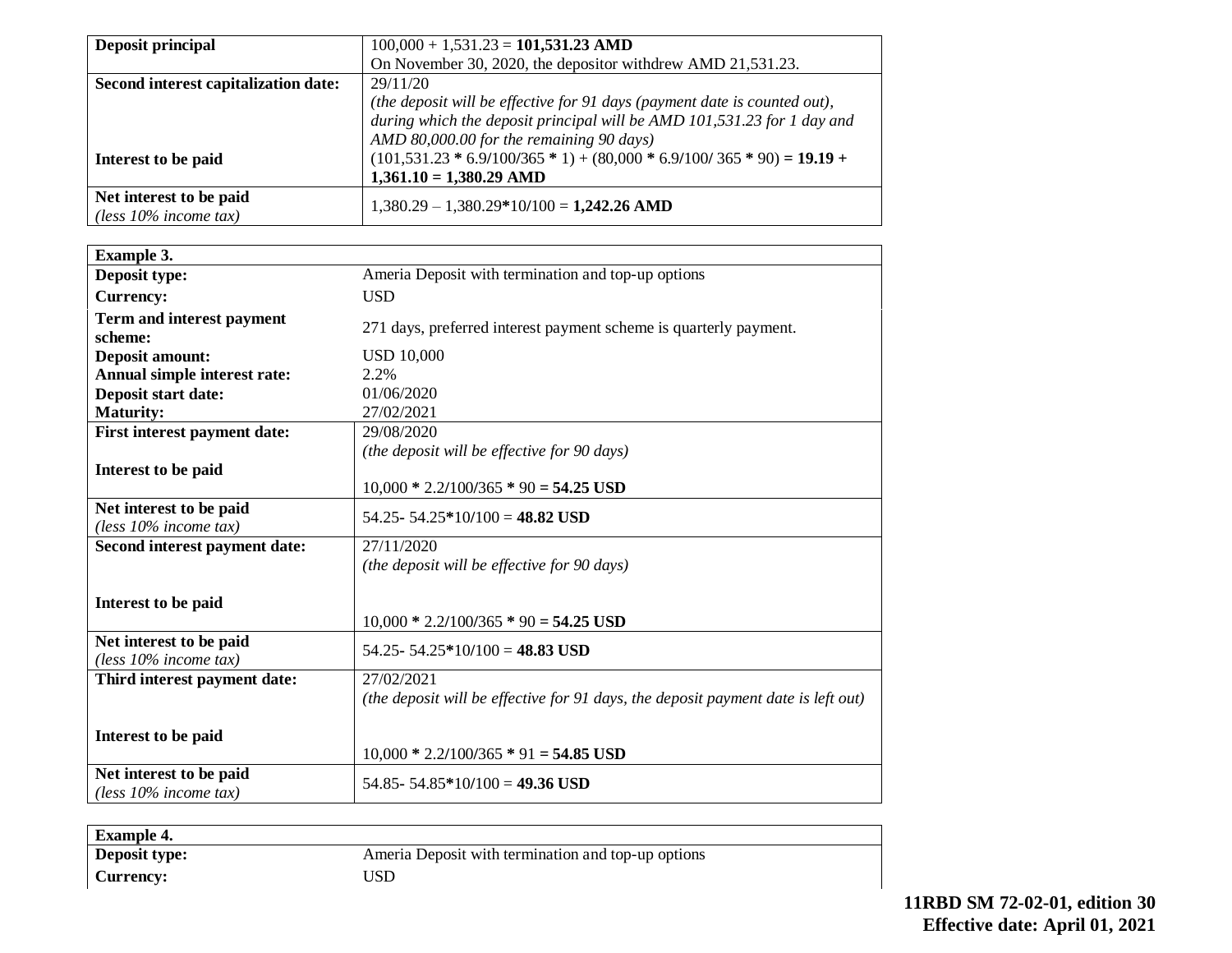| <b>Deposit principal</b>             | $100,000 + 1,531.23 = 101,531.23$ AMD                                     |
|--------------------------------------|---------------------------------------------------------------------------|
|                                      | On November 30, 2020, the depositor withdrew AMD 21,531.23.               |
| Second interest capitalization date: | 29/11/20                                                                  |
|                                      | (the deposit will be effective for 91 days (payment date is counted out), |
|                                      | during which the deposit principal will be AMD 101,531.23 for 1 day and   |
|                                      | AMD 80,000.00 for the remaining 90 days)                                  |
| Interest to be paid                  | $(101,531.23 * 6.9/100/365 * 1) + (80,000 * 6.9/100/365 * 90) = 19.19 +$  |
|                                      | $1,361.10 = 1,380.29$ AMD                                                 |
| Net interest to be paid              |                                                                           |
| (less $10\%$ income tax)             | $1,380.29 - 1,380.29*10/100 = 1,242.26$ AMD                               |

| Example 3.                                          |                                                                                                 |
|-----------------------------------------------------|-------------------------------------------------------------------------------------------------|
| Deposit type:                                       | Ameria Deposit with termination and top-up options                                              |
| <b>Currency:</b>                                    | <b>USD</b>                                                                                      |
| Term and interest payment<br>scheme:                | 271 days, preferred interest payment scheme is quarterly payment.                               |
| <b>Deposit amount:</b>                              | <b>USD 10,000</b>                                                                               |
| Annual simple interest rate:                        | 2.2%                                                                                            |
| Deposit start date:                                 | 01/06/2020                                                                                      |
| <b>Maturity:</b>                                    | 27/02/2021                                                                                      |
| First interest payment date:                        | 29/08/2020                                                                                      |
|                                                     | (the deposit will be effective for 90 days)                                                     |
| Interest to be paid                                 | $10,000 * 2.2/100/365 * 90 = 54.25$ USD                                                         |
| Net interest to be paid<br>(less $10\%$ income tax) | 54.25 - 54.25 * 10/100 = 48.82 USD                                                              |
| Second interest payment date:                       | 27/11/2020                                                                                      |
|                                                     | (the deposit will be effective for 90 days)                                                     |
| Interest to be paid                                 | $10,000 * 2.2/100/365 * 90 = 54.25$ USD                                                         |
| Net interest to be paid<br>(less $10\%$ income tax) | 54.25 - 54.25 * 10/100 = 48.83 USD                                                              |
| Third interest payment date:                        | 27/02/2021<br>(the deposit will be effective for 91 days, the deposit payment date is left out) |
| Interest to be paid                                 | $10,000 * 2.2/100/365 * 91 = 54.85$ USD                                                         |
| Net interest to be paid<br>(less $10\%$ income tax) | 54.85 - 54.85 * 10/100 = 49.36 USD                                                              |

| <b>Example 4.</b> |                                                    |
|-------------------|----------------------------------------------------|
| Deposit type:     | Ameria Deposit with termination and top-up options |
| Currency:         | USD                                                |